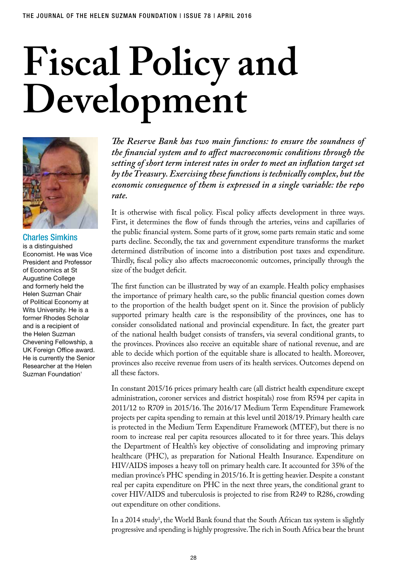# **Fiscal Policy and Development**



# Charles Simkins

is a distinguished Economist. He was Vice President and Professor of Economics at St Augustine College and formerly held the Helen Suzman Chair of Political Economy at Wits University. He is a former Rhodes Scholar and is a recipient of the Helen Suzman Chevening Fellowship, a UK Foreign Office award. He is currently the Senior Researcher at the Helen Suzman Foundation'

*The Reserve Bank has two main functions: to ensure the soundness of the financial system and to affect macroeconomic conditions through the setting of short term interest rates in order to meet an inflation target set by the Treasury. Exercising these functions is technically complex, but the economic consequence of them is expressed in a single variable: the repo rate.*

It is otherwise with fiscal policy. Fiscal policy affects development in three ways. First, it determines the flow of funds through the arteries, veins and capillaries of the public financial system. Some parts of it grow, some parts remain static and some parts decline. Secondly, the tax and government expenditure transforms the market determined distribution of income into a distribution post taxes and expenditure. Thirdly, fiscal policy also affects macroeconomic outcomes, principally through the size of the budget deficit.

The first function can be illustrated by way of an example. Health policy emphasises the importance of primary health care, so the public financial question comes down to the proportion of the health budget spent on it. Since the provision of publicly supported primary health care is the responsibility of the provinces, one has to consider consolidated national and provincial expenditure. In fact, the greater part of the national health budget consists of transfers, via several conditional grants, to the provinces. Provinces also receive an equitable share of national revenue, and are able to decide which portion of the equitable share is allocated to health. Moreover, provinces also receive revenue from users of its health services. Outcomes depend on all these factors.

In constant 2015/16 prices primary health care (all district health expenditure except administration, coroner services and district hospitals) rose from R594 per capita in 2011/12 to R709 in 2015/16. The 2016/17 Medium Term Expenditure Framework projects per capita spending to remain at this level until 2018/19. Primary health care is protected in the Medium Term Expenditure Framework (MTEF), but there is no room to increase real per capita resources allocated to it for three years. This delays the Department of Health's key objective of consolidating and improving primary healthcare (PHC), as preparation for National Health Insurance. Expenditure on HIV/AIDS imposes a heavy toll on primary health care. It accounted for 35% of the median province's PHC spending in 2015/16. It is getting heavier. Despite a constant real per capita expenditure on PHC in the next three years, the conditional grant to cover HIV/AIDS and tuberculosis is projected to rise from R249 to R286, crowding out expenditure on other conditions.

In a 2014 study<sup>1</sup>, the World Bank found that the South African tax system is slightly progressive and spending is highly progressive. The rich in South Africa bear the brunt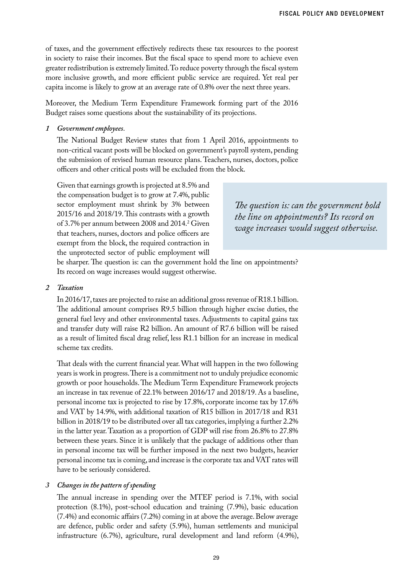of taxes, and the government effectively redirects these tax resources to the poorest in society to raise their incomes. But the fiscal space to spend more to achieve even greater redistribution is extremely limited. To reduce poverty through the fiscal system more inclusive growth, and more efficient public service are required. Yet real per capita income is likely to grow at an average rate of 0.8% over the next three years.

Moreover, the Medium Term Expenditure Framework forming part of the 2016 Budget raises some questions about the sustainability of its projections.

### *1 Government employees*.

The National Budget Review states that from 1 April 2016, appointments to non-critical vacant posts will be blocked on government's payroll system, pending the submission of revised human resource plans. Teachers, nurses, doctors, police officers and other critical posts will be excluded from the block.

Given that earnings growth is projected at 8.5% and the compensation budget is to grow at 7.4%, public sector employment must shrink by 3% between 2015/16 and 2018/19. This contrasts with a growth of 3.7% per annum between 2008 and 2014.<sup>2</sup> Given that teachers, nurses, doctors and police officers are exempt from the block, the required contraction in the unprotected sector of public employment will

*The question is: can the government hold the line on appointments? Its record on wage increases would suggest otherwise.*

be sharper. The question is: can the government hold the line on appointments? Its record on wage increases would suggest otherwise.

### *2 Taxation*

In 2016/17, taxes are projected to raise an additional gross revenue of R18.1 billion. The additional amount comprises R9.5 billion through higher excise duties, the general fuel levy and other environmental taxes. Adjustments to capital gains tax and transfer duty will raise R2 billion. An amount of R7.6 billion will be raised as a result of limited fiscal drag relief, less R1.1 billion for an increase in medical scheme tax credits.

That deals with the current financial year. What will happen in the two following years is work in progress. There is a commitment not to unduly prejudice economic growth or poor households. The Medium Term Expenditure Framework projects an increase in tax revenue of 22.1% between 2016/17 and 2018/19. As a baseline, personal income tax is projected to rise by 17.8%, corporate income tax by 17.6% and VAT by 14.9%, with additional taxation of R15 billion in 2017/18 and R31 billion in 2018/19 to be distributed over all tax categories, implying a further 2.2% in the latter year. Taxation as a proportion of GDP will rise from 26.8% to 27.8% between these years. Since it is unlikely that the package of additions other than in personal income tax will be further imposed in the next two budgets, heavier personal income tax is coming, and increase is the corporate tax and VAT rates will have to be seriously considered.

### *3 Changes in the pattern of spending*

The annual increase in spending over the MTEF period is 7.1%, with social protection (8.1%), post-school education and training (7.9%), basic education (7.4%) and economic affairs (7.2%) coming in at above the average. Below average are defence, public order and safety (5.9%), human settlements and municipal infrastructure (6.7%), agriculture, rural development and land reform (4.9%),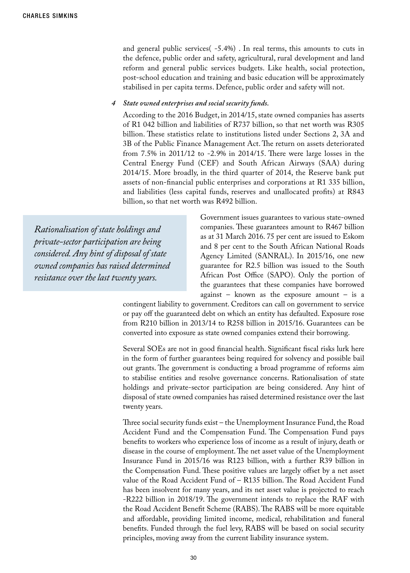and general public services( -5.4%) . In real terms, this amounts to cuts in the defence, public order and safety, agricultural, rural development and land reform and general public services budgets. Like health, social protection, post-school education and training and basic education will be approximately stabilised in per capita terms. Defence, public order and safety will not.

### *4 State owned enterprises and social security funds.*

According to the 2016 Budget, in 2014/15, state owned companies has asserts of R1 042 billion and liabilities of R737 billion, so that net worth was R305 billion. These statistics relate to institutions listed under Sections 2, 3A and 3B of the Public Finance Management Act. The return on assets deteriorated from 7.5% in 2011/12 to -2.9% in 2014/15. There were large losses in the Central Energy Fund (CEF) and South African Airways (SAA) during 2014/15. More broadly, in the third quarter of 2014, the Reserve bank put assets of non-financial public enterprises and corporations at R1 335 billion, and liabilities (less capital funds, reserves and unallocated profits) at R843 billion, so that net worth was R492 billion.

*Rationalisation of state holdings and private-sector participation are being considered. Any hint of disposal of state owned companies has raised determined resistance over the last twenty years.*

Government issues guarantees to various state-owned companies. These guarantees amount to R467 billion as at 31 March 2016. 75 per cent are issued to Eskom and 8 per cent to the South African National Roads Agency Limited (SANRAL). In 2015/16, one new guarantee for R2.5 billion was issued to the South African Post Office (SAPO). Only the portion of the guarantees that these companies have borrowed against – known as the exposure amount – is a

contingent liability to government. Creditors can call on government to service or pay off the guaranteed debt on which an entity has defaulted. Exposure rose from R210 billion in 2013/14 to R258 billion in 2015/16. Guarantees can be converted into exposure as state owned companies extend their borrowing.

Several SOEs are not in good financial health. Significant fiscal risks lurk here in the form of further guarantees being required for solvency and possible bail out grants. The government is conducting a broad programme of reforms aim to stabilise entities and resolve governance concerns. Rationalisation of state holdings and private-sector participation are being considered. Any hint of disposal of state owned companies has raised determined resistance over the last twenty years.

Three social security funds exist – the Unemployment Insurance Fund, the Road Accident Fund and the Compensation Fund. The Compensation Fund pays benefits to workers who experience loss of income as a result of injury, death or disease in the course of employment. The net asset value of the Unemployment Insurance Fund in 2015/16 was R123 billion, with a further R39 billion in the Compensation Fund. These positive values are largely offset by a net asset value of the Road Accident Fund of – R135 billion. The Road Accident Fund has been insolvent for many years, and its net asset value is projected to reach -R222 billion in 2018/19. The government intends to replace the RAF with the Road Accident Benefit Scheme (RABS). The RABS will be more equitable and affordable, providing limited income, medical, rehabilitation and funeral benefits. Funded through the fuel levy, RABS will be based on social security principles, moving away from the current liability insurance system.